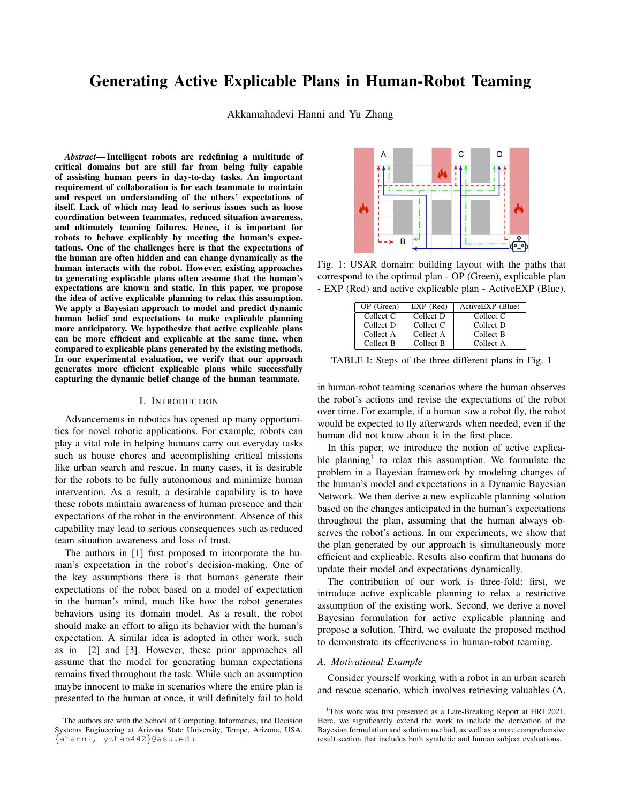# **Generating Active Explicable Plans in Human-Robot Teaming**

Akkamahadevi Hanni and Yu Zhang

Abstract-Intelligent robots are redefining a multitude of critical domains but are still far from being fully capable of assisting human peers in day-to-day tasks. An important requirement of collaboration is for each teammate to maintain and respect an understanding of the others' expectations of itself. Lack of which may lead to serious issues such as loose coordination between teammates, reduced situation awareness, and ultimately teaming failures. Hence, it is important for robots to behave explicably by meeting the human's expectations. One of the challenges here is that the expectations of the human are often hidden and can change dynamically as the human interacts with the robot. However, existing approaches to generating explicable plans often assume that the human's expectations are known and static. In this paper, we propose the idea of active explicable planning to relax this assumption. We apply a Bayesian approach to model and predict dynamic human belief and expectations to make explicable planning more anticipatory. We hypothesize that active explicable plans can be more efficient and explicable at the same time, when compared to explicable plans generated by the existing methods. In our experimental evaluation, we verify that our approach generates more efficient explicable plans while successfully capturing the dynamic belief change of the human teammate.

## I. INTRODUCTION

Advancements in robotics has opened up many opportunities for novel robotic applications. For example, robots can play a vital role in helping humans carry out everyday tasks such as house chores and accomplishing critical missions like urban search and rescue. In many cases, it is desirable for the robots to be fully autonomous and minimize human intervention. As a result, a desirable capability is to have these robots maintain awareness of human presence and their expectations of the robot in the environment. Absence of this capability may lead to serious consequences such as reduced team situation awareness and loss of trust.

The authors in [1] first proposed to incorporate the human's expectation in the robot's decision-making. One of the key assumptions there is that humans generate their expectations of the robot based on a model of expectation in the human's mind, much like how the robot generates behaviors using its domain model. As a result, the robot should make an effort to align its behavior with the human's expectation. A similar idea is adopted in other work, such as in [2] and [3]. However, these prior approaches all assume that the model for generating human expectations remains fixed throughout the task. While such an assumption maybe innocent to make in scenarios where the entire plan is presented to the human at once, it will definitely fail to hold



Fig. 1: USAR domain: building layout with the paths that correspond to the optimal plan - OP (Green), explicable plan - EXP (Red) and active explicable plan - Active EXP (Blue).

| OP (Green) | $EXP$ (Red) | Active EXP (Blue) |
|------------|-------------|-------------------|
| Collect C  | Collect D   | Collect C         |
| Collect D  | Collect C   | Collect D         |
| Collect A  | Collect A   | Collect B         |
| Collect B  | Collect B   | Collect A         |

TABLE I: Steps of the three different plans in Fig. 1

in human-robot teaming scenarios where the human observes the robot's actions and revise the expectations of the robot over time. For example, if a human saw a robot fly, the robot would be expected to fly afterwards when needed, even if the human did not know about it in the first place.

In this paper, we introduce the notion of active explicable planning<sup>1</sup> to relax this assumption. We formulate the problem in a Bayesian framework by modeling changes of the human's model and expectations in a Dynamic Bayesian Network. We then derive a new explicable planning solution based on the changes anticipated in the human's expectations throughout the plan, assuming that the human always observes the robot's actions. In our experiments, we show that the plan generated by our approach is simultaneously more efficient and explicable. Results also confirm that humans do update their model and expectations dynamically.

The contribution of our work is three-fold: first, we introduce active explicable planning to relax a restrictive assumption of the existing work. Second, we derive a novel Bayesian formulation for active explicable planning and propose a solution. Third, we evaluate the proposed method to demonstrate its effectiveness in human-robot teaming.

## A. Motivational Example

Consider yourself working with a robot in an urban search and rescue scenario, which involves retrieving valuables (A,

The authors are with the School of Computing, Informatics, and Decision Systems Engineering at Arizona State University, Tempe, Arizona, USA. {ahanni, yzhan442}@asu.edu.

<sup>&</sup>lt;sup>1</sup>This work was first presented as a Late-Breaking Report at HRI 2021. Here, we significantly extend the work to include the derivation of the Bayesian formulation and solution method, as well as a more comprehensive result section that includes both synthetic and human subject evaluations.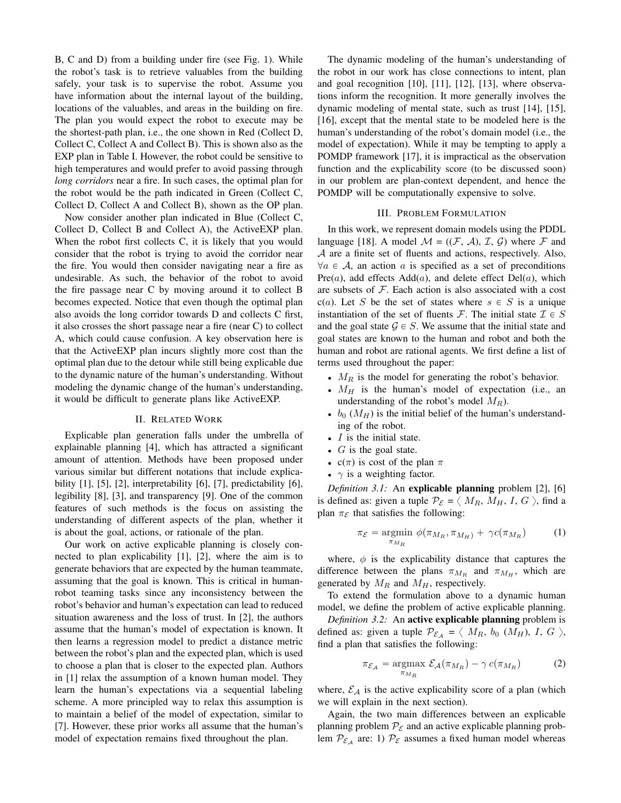B, C and D) from a building under fire (see Fig. 1). While the robot's task is to retrieve valuables from the building safely, your task is to supervise the robot. Assume you have information about the internal layout of the building, locations of the valuables, and areas in the building on fire. The plan you would expect the robot to execute may be the shortest-path plan, i.e., the one shown in Red (Collect D, Collect C, Collect A and Collect B). This is shown also as the EXP plan in Table I. However, the robot could be sensitive to high temperatures and would prefer to avoid passing through *long corridors* near a fire. In such cases, the optimal plan for the robot would be the path indicated in Green (Collect C, Collect D, Collect A and Collect B), shown as the OP plan.

Now consider another plan indicated in Blue (Collect C, Collect D, Collect B and Collect A), the ActiveEXP plan. When the robot first collects C, it is likely that you would consider that the robot is trying to avoid the corridor near the fire. You would then consider navigating near a fire as undesirable. As such, the behavior of the robot to avoid the fire passage near C by moving around it to collect B becomes expected. Notice that even though the optimal plan also avoids the long corridor towards D and collects C first, it also crosses the short passage near a fire (near C) to collect A, which could cause confusion. A key observation here is that the ActiveEXP plan incurs slightly more cost than the optimal plan due to the detour while still being explicable due to the dynamic nature of the human's understanding. Without modeling the dynamic change of the human's understanding. it would be difficult to generate plans like Active EXP.

# **II. RELATED WORK**

Explicable plan generation falls under the umbrella of explainable planning [4], which has attracted a significant amount of attention. Methods have been proposed under various similar but different notations that include explicability  $[1]$ ,  $[5]$ ,  $[2]$ , interpretability  $[6]$ ,  $[7]$ , predictability  $[6]$ , legibility  $[8]$ ,  $[3]$ , and transparency  $[9]$ . One of the common features of such methods is the focus on assisting the understanding of different aspects of the plan, whether it is about the goal, actions, or rationale of the plan.

Our work on active explicable planning is closely connected to plan explicability [1], [2], where the aim is to generate behaviors that are expected by the human teammate, assuming that the goal is known. This is critical in humanrobot teaming tasks since any inconsistency between the robot's behavior and human's expectation can lead to reduced situation awareness and the loss of trust. In [2], the authors assume that the human's model of expectation is known. It then learns a regression model to predict a distance metric between the robot's plan and the expected plan, which is used to choose a plan that is closer to the expected plan. Authors in [1] relax the assumption of a known human model. They learn the human's expectations via a sequential labeling scheme. A more principled way to relax this assumption is to maintain a belief of the model of expectation, similar to [7]. However, these prior works all assume that the human's model of expectation remains fixed throughout the plan.

The dynamic modeling of the human's understanding of the robot in our work has close connections to intent, plan and goal recognition [10], [11], [12], [13], where observations inform the recognition. It more generally involves the dynamic modeling of mental state, such as trust [14], [15], [16], except that the mental state to be modeled here is the human's understanding of the robot's domain model (i.e., the model of expectation). While it may be tempting to apply a POMDP framework [17], it is impractical as the observation function and the explicability score (to be discussed soon) in our problem are plan-context dependent, and hence the POMDP will be computationally expensive to solve.

#### **III. PROBLEM FORMULATION**

In this work, we represent domain models using the PDDL language [18]. A model  $\mathcal{M} = ((\mathcal{F}, \mathcal{A}), \mathcal{I}, \mathcal{G})$  where  $\mathcal F$  and  $A$  are a finite set of fluents and actions, respectively. Also,  $\forall a \in \mathcal{A}$ , an action a is specified as a set of preconditions  $Pre(a)$ , add effects  $Add(a)$ , and delete effect  $Del(a)$ , which are subsets of  $F$ . Each action is also associated with a cost  $c(a)$ . Let S be the set of states where  $s \in S$  is a unique instantiation of the set of fluents F. The initial state  $\mathcal{I} \in S$ and the goal state  $G \in S$ . We assume that the initial state and goal states are known to the human and robot and both the human and robot are rational agents. We first define a list of terms used throughout the paper:

- $M_R$  is the model for generating the robot's behavior.
- $M_H$  is the human's model of expectation (i.e., an understanding of the robot's model  $M_R$ ).
- $b_0$  ( $M_H$ ) is the initial belief of the human's understanding of the robot.
- $\bullet$  *I* is the initial state.
- $\bullet$  G is the goal state.
- $c(\pi)$  is cost of the plan  $\pi$
- $\gamma$  is a weighting factor.

Definition 3.1: An explicable planning problem [2], [6] is defined as: given a tuple  $P_{\mathcal{E}} = \langle M_R, M_H, I, G \rangle$ , find a plan  $\pi_{\mathcal{E}}$  that satisfies the following:

$$
\pi_{\mathcal{E}} = \underset{\pi_{M_R}}{\text{argmin}} \ \phi(\pi_{M_R}, \pi_{M_H}) + \ \gamma c(\pi_{M_R}) \tag{1}
$$

where,  $\phi$  is the explicability distance that captures the difference between the plans  $\pi_{M_R}$  and  $\pi_{M_H}$ , which are generated by  $M_R$  and  $M_H$ , respectively.

To extend the formulation above to a dynamic human model, we define the problem of active explicable planning.

Definition 3.2: An active explicable planning problem is defined as: given a tuple  $\mathcal{P}_{\mathcal{E}_A} = \langle M_R, b_0 (M_H), I, G \rangle$ , find a plan that satisfies the following:

$$
\pi_{\mathcal{E}_{\mathcal{A}}} = \underset{\pi_{M_R}}{\text{argmax}} \ \mathcal{E}_{\mathcal{A}}(\pi_{M_R}) - \gamma \ c(\pi_{M_R}) \tag{2}
$$

where,  $\mathcal{E}_A$  is the active explicability score of a plan (which we will explain in the next section).

Again, the two main differences between an explicable planning problem  $P_{\mathcal{E}}$  and an active explicable planning problem  $P_{\mathcal{E}_A}$  are: 1)  $P_{\mathcal{E}}$  assumes a fixed human model whereas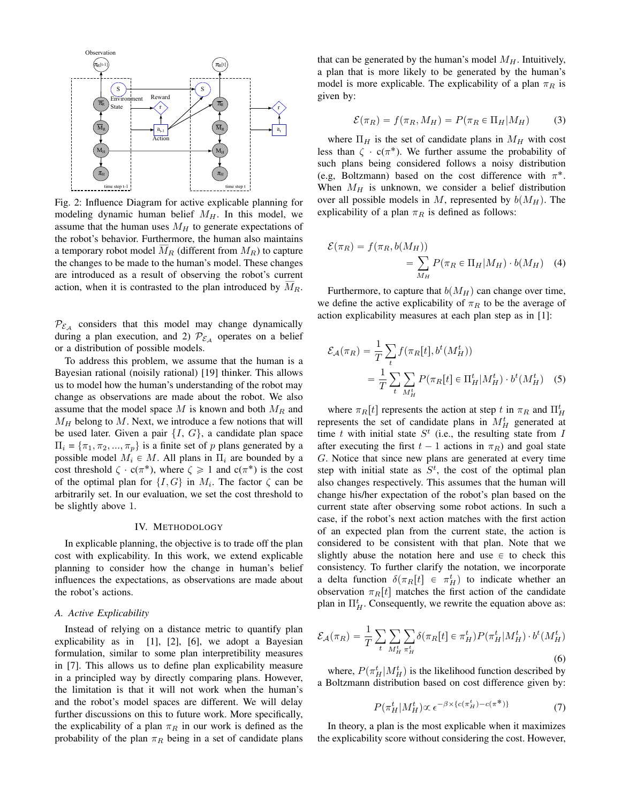

Fig. 2: Influence Diagram for active explicable planning for modeling dynamic human belief  $M_H$ . In this model, we assume that the human uses  $M_H$  to generate expectations of the robot's behavior. Furthermore, the human also maintains a temporary robot model  $\overline{M}_R$  (different from  $M_R$ ) to capture the changes to be made to the human's model. These changes are introduced as a result of observing the robot's current action, when it is contrasted to the plan introduced by  $M_R$ .

 $\mathcal{P}_{\mathcal{E}_A}$  considers that this model may change dynamically during a plan execution, and 2)  $\mathcal{P}_{\mathcal{E}_A}$  operates on a belief or a distribution of possible models.

To address this problem, we assume that the human is a Bayesian rational (noisily rational) [19] thinker. This allows us to model how the human's understanding of the robot may change as observations are made about the robot. We also assume that the model space M is known and both  $M_R$  and  $M_H$  belong to M. Next, we introduce a few notions that will be used later. Given a pair  $\{I, G\}$ , a candidate plan space  $\Pi_i = {\pi_1, \pi_2, ..., \pi_p}$  is a finite set of p plans generated by a possible model  $M_i \in M$ . All plans in  $\Pi_i$  are bounded by a cost threshold  $\zeta \cdot c(\pi^*)$ , where  $\zeta \ge 1$  and  $c(\pi^*)$  is the cost of the optimal plan for  $\{I, G\}$  in  $M_i$ . The factor  $\zeta$  can be arbitrarily set. In our evaluation, we set the cost threshold to be slightly above 1.

#### IV. METHODOLOGY

In explicable planning, the objective is to trade off the plan cost with explicability. In this work, we extend explicable planning to consider how the change in human's belief influences the expectations, as observations are made about the robot's actions.

## A. Active Explicability

Instead of relying on a distance metric to quantify plan explicability as in  $[1]$ ,  $[2]$ ,  $[6]$ , we adopt a Bayesian formulation, similar to some plan interpretibility measures in [7]. This allows us to define plan explicability measure in a principled way by directly comparing plans. However, the limitation is that it will not work when the human's and the robot's model spaces are different. We will delay further discussions on this to future work. More specifically, the explicability of a plan  $\pi_R$  in our work is defined as the probability of the plan  $\pi_R$  being in a set of candidate plans that can be generated by the human's model  $M_H$ . Intuitively, a plan that is more likely to be generated by the human's model is more explicable. The explicability of a plan  $\pi_R$  is given by:

$$
\mathcal{E}(\pi_R) = f(\pi_R, M_H) = P(\pi_R \in \Pi_H | M_H)
$$
 (3)

where  $\Pi_H$  is the set of candidate plans in  $M_H$  with cost less than  $\zeta \cdot c(\pi^*)$ . We further assume the probability of such plans being considered follows a noisy distribution (e.g. Boltzmann) based on the cost difference with  $\pi^*$ . When  $M_H$  is unknown, we consider a belief distribution over all possible models in M, represented by  $b(M_H)$ . The explicability of a plan  $\pi_R$  is defined as follows:

$$
\mathcal{E}(\pi_R) = f(\pi_R, b(M_H))
$$
  
= 
$$
\sum_{M_H} P(\pi_R \in \Pi_H | M_H) \cdot b(M_H) \quad (4)
$$

Furthermore, to capture that  $b(M_H)$  can change over time, we define the active explicability of  $\pi_R$  to be the average of action explicability measures at each plan step as in [1]:

$$
\mathcal{E}_{\mathcal{A}}(\pi_R) = \frac{1}{T} \sum_{t} f(\pi_R[t], b^t(M_H^t))
$$

$$
= \frac{1}{T} \sum_{t} \sum_{M_H^t} P(\pi_R[t] \in \Pi_H^t | M_H^t) \cdot b^t(M_H^t) \quad (5)
$$

where  $\pi_R[t]$  represents the action at step t in  $\pi_R$  and  $\Pi_H^t$ represents the set of candidate plans in  $M_H^t$  generated at time t with initial state  $S<sup>t</sup>$  (i.e., the resulting state from I after executing the first  $t-1$  actions in  $\pi_R$ ) and goal state G. Notice that since new plans are generated at every time step with initial state as  $S<sup>t</sup>$ , the cost of the optimal plan also changes respectively. This assumes that the human will change his/her expectation of the robot's plan based on the current state after observing some robot actions. In such a case, if the robot's next action matches with the first action of an expected plan from the current state, the action is considered to be consistent with that plan. Note that we slightly abuse the notation here and use  $\in$  to check this consistency. To further clarify the notation, we incorporate a delta function  $\delta(\pi_R[t] \in \pi_H^t)$  to indicate whether an observation  $\pi_R[t]$  matches the first action of the candidate plan in  $\Pi_H^t$ . Consequently, we rewrite the equation above as:

$$
\mathcal{E}_{\mathcal{A}}(\pi_R) = \frac{1}{T} \sum_{t} \sum_{M_H^t} \sum_{\pi_H^t} \delta(\pi_R[t] \in \pi_H^t) P(\pi_H^t | M_H^t) \cdot b^t(M_H^t)
$$
\n(6)

where,  $P(\pi_H^t|M_H^t)$  is the likelihood function described by a Boltzmann distribution based on cost difference given by:

$$
P(\pi_H^t | M_H^t) \propto \epsilon^{-\beta \times \{c(\pi_H^t) - c(\pi^*)\}} \tag{7}
$$

In theory, a plan is the most explicable when it maximizes the explicability score without considering the cost. However,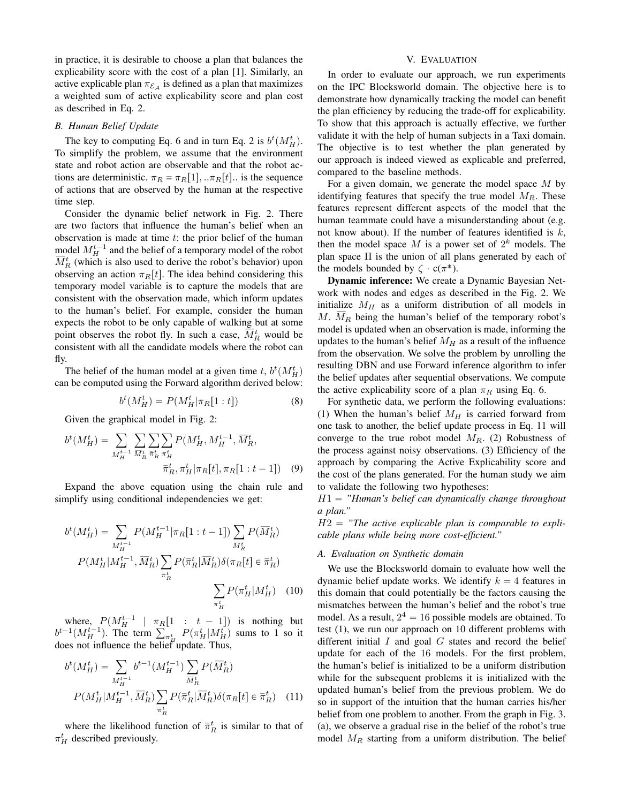in practice, it is desirable to choose a plan that balances the explicability score with the cost of a plan [1]. Similarly, an active explicable plan  $\pi_{\mathcal{E}_A}$  is defined as a plan that maximizes a weighted sum of active explicability score and plan cost as described in Eq. 2.

#### **B.** Human Belief Update

The key to computing Eq. 6 and in turn Eq. 2 is  $b^t(M_H^t)$ . To simplify the problem, we assume that the environment state and robot action are observable and that the robot actions are deterministic.  $\pi_R = \pi_R[1], \pi_R[t]$ . is the sequence of actions that are observed by the human at the respective time step.

Consider the dynamic belief network in Fig. 2. There are two factors that influence the human's belief when an observation is made at time  $t$ : the prior belief of the human model  $M_H^{t-1}$  and the belief of a temporary model of the robot  $M_R^t$  (which is also used to derive the robot's behavior) upon observing an action  $\pi_R[t]$ . The idea behind considering this temporary model variable is to capture the models that are consistent with the observation made, which inform updates to the human's belief. For example, consider the human expects the robot to be only capable of walking but at some point observes the robot fly. In such a case,  $M_R^t$  would be consistent with all the candidate models where the robot can fly.

The belief of the human model at a given time t,  $b^t(M_H^t)$ can be computed using the Forward algorithm derived below:

$$
b^{t}(M_{H}^{t}) = P(M_{H}^{t}|\pi_{R}[1:t])
$$
\n(8)

Given the graphical model in Fig. 2:

$$
b^{t}(M_{H}^{t}) = \sum_{M_{H}^{t-1}} \sum_{\overline{M}_{R}^{t}} \sum_{\overline{\pi}_{R}^{t}} \sum_{\pi_{H}^{t}} P(M_{H}^{t}, M_{H}^{t-1}, \overline{M}_{R}^{t},
$$

$$
\overline{\pi}_{R}^{t}, \pi_{H}^{t}|\pi_{R}[t], \pi_{R}[1:t-1]) \quad (9)
$$

Expand the above equation using the chain rule and simplify using conditional independencies we get:

$$
b^{t}(M_{H}^{t}) = \sum_{M_{H}^{t-1}} P(M_{H}^{t-1} | \pi_{R}[1:t-1]) \sum_{\overline{M}_{R}^{t}} P(\overline{M}_{R}^{t})
$$

$$
P(M_{H}^{t} | M_{H}^{t-1}, \overline{M}_{R}^{t}) \sum_{\overline{\pi}_{R}^{t}} P(\overline{\pi}_{R}^{t} | \overline{M}_{R}^{t}) \delta(\pi_{R}[t] \in \overline{\pi}_{R}^{t})
$$

$$
\sum_{\pi_{H}^{t}} P(\pi_{H}^{t} | M_{H}^{t}) \quad (10)
$$

where,  $P(M_H^{t-1} \mid \pi_R[1:t-1])$  is nothing but  $b^{t-1}(M_H^{t-1})$ . The term  $\sum_{\pi_H^t} P(\pi_H^t|M_H^t)$  sums to 1 so it does not influence the belief update. Thus,

$$
b^{t}(M_{H}^{t}) = \sum_{M_{H}^{t-1}} b^{t-1}(M_{H}^{t-1}) \sum_{\overline{M}_{R}^{t}} P(\overline{M}_{R}^{t})
$$

$$
P(M_{H}^{t}|M_{H}^{t-1}, \overline{M}_{R}^{t}) \sum_{\overline{\pi}_{R}^{t}} P(\overline{\pi}_{R}^{t}|\overline{M}_{R}^{t}) \delta(\pi_{R}[t] \in \overline{\pi}_{R}^{t}) \quad (11)
$$

where the likelihood function of  $\bar{\pi}_R^t$  is similar to that of  $\pi_H^t$  described previously.

# V. EVALUATION

In order to evaluate our approach, we run experiments on the IPC Blocksworld domain. The objective here is to demonstrate how dynamically tracking the model can benefit the plan efficiency by reducing the trade-off for explicability. To show that this approach is actually effective, we further validate it with the help of human subjects in a Taxi domain. The objective is to test whether the plan generated by our approach is indeed viewed as explicable and preferred, compared to the baseline methods.

For a given domain, we generate the model space  $M$  by identifying features that specify the true model  $M_R$ . These features represent different aspects of the model that the human teammate could have a misunderstanding about (e.g. not know about). If the number of features identified is  $k$ , then the model space M is a power set of  $2^k$  models. The plan space  $\Pi$  is the union of all plans generated by each of the models bounded by  $\zeta \cdot c(\pi^*)$ .

**Dynamic inference:** We create a Dynamic Bayesian Network with nodes and edges as described in the Fig. 2. We initialize  $M_H$  as a uniform distribution of all models in M.  $\overline{M}_R$  being the human's belief of the temporary robot's model is updated when an observation is made, informing the updates to the human's belief  $M_H$  as a result of the influence from the observation. We solve the problem by unrolling the resulting DBN and use Forward inference algorithm to infer the belief updates after sequential observations. We compute the active explicability score of a plan  $\pi_R$  using Eq. 6.

For synthetic data, we perform the following evaluations: (1) When the human's belief  $M_H$  is carried forward from one task to another, the belief update process in Eq. 11 will converge to the true robot model  $M_R$ . (2) Robustness of the process against noisy observations. (3) Efficiency of the approach by comparing the Active Explicability score and the cost of the plans generated. For the human study we aim to validate the following two hypotheses:

 $H1 = "Human's belief can dynamically change throughout$ a plan."

 $H2 =$  "The active explicable plan is comparable to explicable plans while being more cost-efficient."

## A. Evaluation on Synthetic domain

We use the Blocksworld domain to evaluate how well the dynamic belief update works. We identify  $k = 4$  features in this domain that could potentially be the factors causing the mismatches between the human's belief and the robot's true model. As a result,  $2^4 = 16$  possible models are obtained. To test (1), we run our approach on 10 different problems with different initial  $I$  and goal  $G$  states and record the belief update for each of the 16 models. For the first problem, the human's belief is initialized to be a uniform distribution while for the subsequent problems it is initialized with the updated human's belief from the previous problem. We do so in support of the intuition that the human carries his/her belief from one problem to another. From the graph in Fig. 3. (a), we observe a gradual rise in the belief of the robot's true model  $M_R$  starting from a uniform distribution. The belief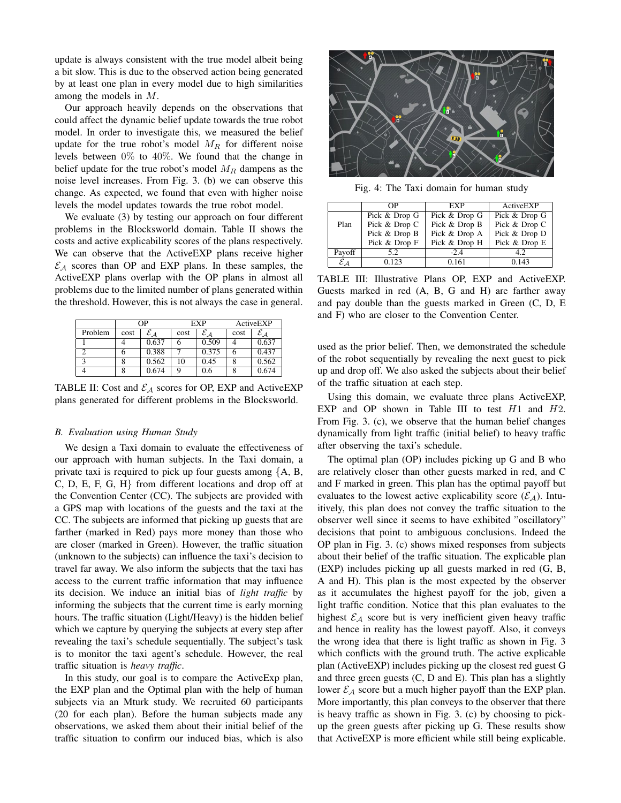update is always consistent with the true model albeit being a bit slow. This is due to the observed action being generated by at least one plan in every model due to high similarities among the models in  $M$ .

Our approach heavily depends on the observations that could affect the dynamic belief update towards the true robot model. In order to investigate this, we measured the belief update for the true robot's model  $M_R$  for different noise levels between  $0\%$  to  $40\%$ . We found that the change in belief update for the true robot's model  $M_R$  dampens as the noise level increases. From Fig. 3. (b) we can observe this change. As expected, we found that even with higher noise levels the model updates towards the true robot model.

We evaluate (3) by testing our approach on four different problems in the Blocksworld domain. Table II shows the costs and active explicability scores of the plans respectively. We can observe that the Active EXP plans receive higher  $\mathcal{E}_A$  scores than OP and EXP plans. In these samples, the ActiveEXP plans overlap with the OP plans in almost all problems due to the limited number of plans generated within the threshold. However, this is not always the case in general.

|         | OΡ   |                             | EXP  |                             | ActiveEXP |       |
|---------|------|-----------------------------|------|-----------------------------|-----------|-------|
| Problem | cost | $\mathcal{E}_{\mathcal{A}}$ | cost | $\mathcal{E}_{\mathcal{A}}$ | cost      | ΣД    |
|         |      | 0.637                       |      | 0.509                       |           | 0.637 |
|         |      | 0.388                       |      | 0.375                       |           | 0.437 |
| ◠       |      | 0.562                       | 10   | 0.45                        |           | 0.562 |
|         |      | 0.674                       |      | 0.6                         |           | 0.674 |

TABLE II: Cost and  $\mathcal{E}_{A}$  scores for OP, EXP and ActiveEXP plans generated for different problems in the Blocksworld.

## **B.** Evaluation using Human Study

We design a Taxi domain to evaluate the effectiveness of our approach with human subjects. In the Taxi domain, a private taxi is required to pick up four guests among  $\{A, B, \}$  $C, D, E, F, G, H$  from different locations and drop off at the Convention Center (CC). The subjects are provided with a GPS map with locations of the guests and the taxi at the CC. The subjects are informed that picking up guests that are farther (marked in Red) pays more money than those who are closer (marked in Green). However, the traffic situation (unknown to the subjects) can influence the taxi's decision to travel far away. We also inform the subjects that the taxi has access to the current traffic information that may influence its decision. We induce an initial bias of *light traffic* by informing the subjects that the current time is early morning hours. The traffic situation (Light/Heavy) is the hidden belief which we capture by querying the subjects at every step after revealing the taxi's schedule sequentially. The subject's task is to monitor the taxi agent's schedule. However, the real traffic situation is *heavy traffic*.

In this study, our goal is to compare the ActiveExp plan, the EXP plan and the Optimal plan with the help of human subjects via an Mturk study. We recruited 60 participants (20 for each plan). Before the human subjects made any observations, we asked them about their initial belief of the traffic situation to confirm our induced bias, which is also



Fig. 4: The Taxi domain for human study

|              | OΡ            | <b>EXP</b>    | ActiveEXP       |  |
|--------------|---------------|---------------|-----------------|--|
|              | Pick & Drop G | Pick & Drop G | Pick $&$ Drop G |  |
| Plan         | Pick & Drop C | Pick & Drop B | Pick & Drop C   |  |
|              | Pick & Drop B | Pick & Drop A | Pick & Drop D   |  |
|              | Pick & Drop F | Pick & Drop H | Pick & Drop E   |  |
| Payoff       | 5.2.          | $-2.4$        | 4.2             |  |
| ${\cal E}$ A | 0.123         | 0.161         | 0.143           |  |

TABLE III: Illustrative Plans OP, EXP and ActiveEXP. Guests marked in red (A, B, G and H) are farther away and pay double than the guests marked in Green (C, D, E and F) who are closer to the Convention Center.

used as the prior belief. Then, we demonstrated the schedule of the robot sequentially by revealing the next guest to pick up and drop off. We also asked the subjects about their belief of the traffic situation at each step.

Using this domain, we evaluate three plans ActiveEXP, EXP and OP shown in Table III to test  $H1$  and  $H2$ . From Fig. 3. (c), we observe that the human belief changes dynamically from light traffic (initial belief) to heavy traffic after observing the taxi's schedule.

The optimal plan (OP) includes picking up G and B who are relatively closer than other guests marked in red, and C and F marked in green. This plan has the optimal payoff but evaluates to the lowest active explicability score  $(\mathcal{E}_A)$ . Intuitively, this plan does not convey the traffic situation to the observer well since it seems to have exhibited "oscillatory" decisions that point to ambiguous conclusions. Indeed the OP plan in Fig. 3. (c) shows mixed responses from subjects about their belief of the traffic situation. The explicable plan (EXP) includes picking up all guests marked in red (G, B, A and H). This plan is the most expected by the observer as it accumulates the highest payoff for the job, given a light traffic condition. Notice that this plan evaluates to the highest  $\mathcal{E}_A$  score but is very inefficient given heavy traffic and hence in reality has the lowest payoff. Also, it conveys the wrong idea that there is light traffic as shown in Fig. 3 which conflicts with the ground truth. The active explicable plan (Active EXP) includes picking up the closest red guest G and three green guests  $(C, D \text{ and } E)$ . This plan has a slightly lower  $\mathcal{E}_A$  score but a much higher payoff than the EXP plan. More importantly, this plan conveys to the observer that there is heavy traffic as shown in Fig. 3. (c) by choosing to pickup the green guests after picking up G. These results show that Active EXP is more efficient while still being explicable.